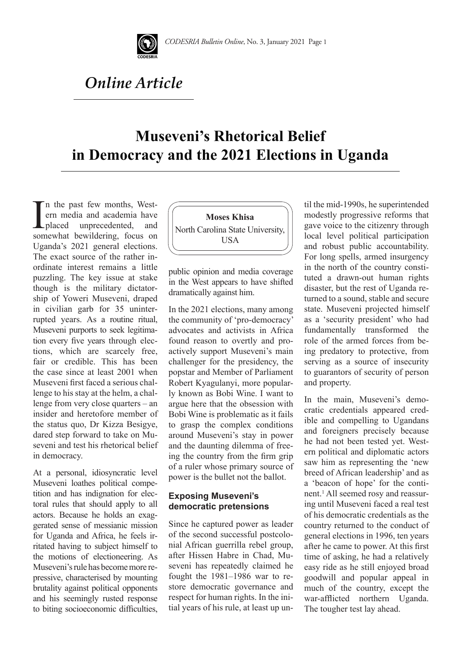

# *Online Article*

## **Museveni's Rhetorical Belief in Democracy and the 2021 Elections in Uganda**

I<sub>som</sub> n the past few months, Western media and academia have placed unprecedented, and somewhat bewildering, focus on Uganda's 2021 general elections. The exact source of the rather inordinate interest remains a little puzzling. The key issue at stake though is the military dictatorship of Yoweri Museveni, draped in civilian garb for 35 uninterrupted years. As a routine ritual, Museveni purports to seek legitimation every five years through elections, which are scarcely free, fair or credible. This has been the case since at least 2001 when Museveni first faced a serious challenge to his stay at the helm, a challenge from very close quarters – an insider and heretofore member of the status quo, Dr Kizza Besigye, dared step forward to take on Museveni and test his rhetorical belief in democracy.

At a personal, idiosyncratic level Museveni loathes political competition and has indignation for electoral rules that should apply to all actors. Because he holds an exaggerated sense of messianic mission for Uganda and Africa, he feels irritated having to subject himself to the motions of electioneering. As Museveni's rule has become more repressive, characterised by mounting brutality against political opponents and his seemingly rusted response to biting socioeconomic difficulties,



public opinion and media coverage in the West appears to have shifted dramatically against him.

In the 2021 elections, many among the community of 'pro-democracy' advocates and activists in Africa found reason to overtly and proactively support Museveni's main challenger for the presidency, the popstar and Member of Parliament Robert Kyagulanyi, more popularly known as Bobi Wine. I want to argue here that the obsession with Bobi Wine is problematic as it fails to grasp the complex conditions around Museveni's stay in power and the daunting dilemma of freeing the country from the firm grip of a ruler whose primary source of power is the bullet not the ballot.

#### **Exposing Museveni's democratic pretensions**

Since he captured power as leader of the second successful postcolonial African guerrilla rebel group, after Hissen Habre in Chad, Museveni has repeatedly claimed he fought the 1981–1986 war to restore democratic governance and respect for human rights. In the initial years of his rule, at least up until the mid-1990s, he superintended modestly progressive reforms that gave voice to the citizenry through local level political participation and robust public accountability. For long spells, armed insurgency in the north of the country constituted a drawn-out human rights disaster, but the rest of Uganda returned to a sound, stable and secure state. Museveni projected himself as a 'security president' who had fundamentally transformed the role of the armed forces from being predatory to protective, from serving as a source of insecurity to guarantors of security of person and property.

In the main, Museveni's democratic credentials appeared credible and compelling to Ugandans and foreigners precisely because he had not been tested yet. Western political and diplomatic actors saw him as representing the 'new breed of African leadership' and as a 'beacon of hope' for the continent.1 All seemed rosy and reassuring until Museveni faced a real test of his democratic credentials as the country returned to the conduct of general elections in 1996, ten years after he came to power. At this first time of asking, he had a relatively easy ride as he still enjoyed broad goodwill and popular appeal in much of the country, except the war-afflicted northern Uganda. The tougher test lay ahead.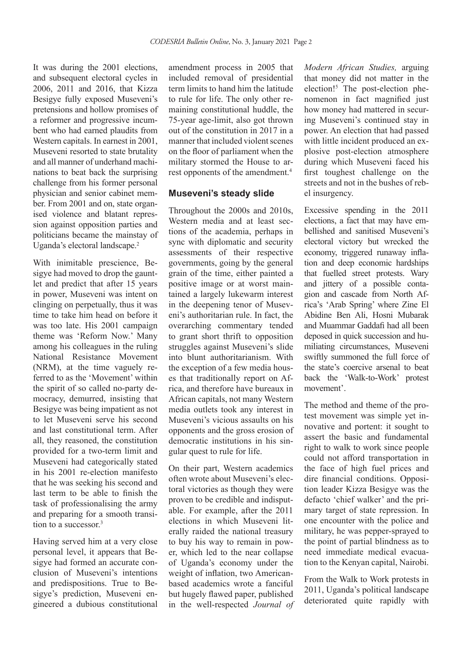It was during the 2001 elections, and subsequent electoral cycles in 2006, 2011 and 2016, that Kizza Besigye fully exposed Museveni's pretensions and hollow promises of a reformer and progressive incumbent who had earned plaudits from Western capitals. In earnest in 2001, Museveni resorted to state brutality and all manner of underhand machinations to beat back the surprising challenge from his former personal physician and senior cabinet member. From 2001 and on, state organised violence and blatant repression against opposition parties and politicians became the mainstay of Uganda's electoral landscape.<sup>2</sup>

With inimitable prescience, Besigye had moved to drop the gauntlet and predict that after 15 years in power, Museveni was intent on clinging on perpetually, thus it was time to take him head on before it was too late. His 2001 campaign theme was 'Reform Now.' Many among his colleagues in the ruling National Resistance Movement (NRM), at the time vaguely referred to as the 'Movement' within the spirit of so called no-party democracy, demurred, insisting that Besigye was being impatient as not to let Museveni serve his second and last constitutional term. After all, they reasoned, the constitution provided for a two-term limit and Museveni had categorically stated in his 2001 re-election manifesto that he was seeking his second and last term to be able to finish the task of professionalising the army and preparing for a smooth transition to a successor.3

Having served him at a very close personal level, it appears that Besigye had formed an accurate conclusion of Museveni's intentions and predispositions. True to Besigye's prediction, Museveni engineered a dubious constitutional amendment process in 2005 that included removal of presidential term limits to hand him the latitude to rule for life. The only other remaining constitutional huddle, the 75-year age-limit, also got thrown out of the constitution in 2017 in a manner that included violent scenes on the floor of parliament when the military stormed the House to arrest opponents of the amendment.4

#### **Museveni's steady slide**

Throughout the 2000s and 2010s, Western media and at least sections of the academia, perhaps in sync with diplomatic and security assessments of their respective governments, going by the general grain of the time, either painted a positive image or at worst maintained a largely lukewarm interest in the deepening tenor of Museveni's authoritarian rule. In fact, the overarching commentary tended to grant short thrift to opposition struggles against Museveni's slide into blunt authoritarianism. With the exception of a few media houses that traditionally report on Africa, and therefore have bureaux in African capitals, not many Western media outlets took any interest in Museveni's vicious assaults on his opponents and the gross erosion of democratic institutions in his singular quest to rule for life.

On their part, Western academics often wrote about Museveni's electoral victories as though they were proven to be credible and indisputable. For example, after the 2011 elections in which Museveni literally raided the national treasury to buy his way to remain in power, which led to the near collapse of Uganda's economy under the weight of inflation, two Americanbased academics wrote a fanciful but hugely flawed paper, published in the well-respected *Journal of*  *Modern African Studies,* arguing that money did not matter in the election!<sup>5</sup> The post-election phenomenon in fact magnified just how money had mattered in securing Museveni's continued stay in power. An election that had passed with little incident produced an explosive post-election atmosphere during which Museveni faced his first toughest challenge on the streets and not in the bushes of rebel insurgency.

Excessive spending in the 2011 elections, a fact that may have embellished and sanitised Museveni's electoral victory but wrecked the economy, triggered runaway inflation and deep economic hardships that fuelled street protests. Wary and jittery of a possible contagion and cascade from North Africa's 'Arab Spring' where Zine El Abidine Ben Ali, Hosni Mubarak and Muammar Gaddafi had all been deposed in quick succession and humiliating circumstances, Museveni swiftly summoned the full force of the state's coercive arsenal to beat back the 'Walk-to-Work' protest movement'.

The method and theme of the protest movement was simple yet innovative and portent: it sought to assert the basic and fundamental right to walk to work since people could not afford transportation in the face of high fuel prices and dire financial conditions. Opposition leader Kizza Besigye was the defacto 'chief walker' and the primary target of state repression. In one encounter with the police and military, he was pepper-sprayed to the point of partial blindness as to need immediate medical evacuation to the Kenyan capital, Nairobi.

From the Walk to Work protests in 2011, Uganda's political landscape deteriorated quite rapidly with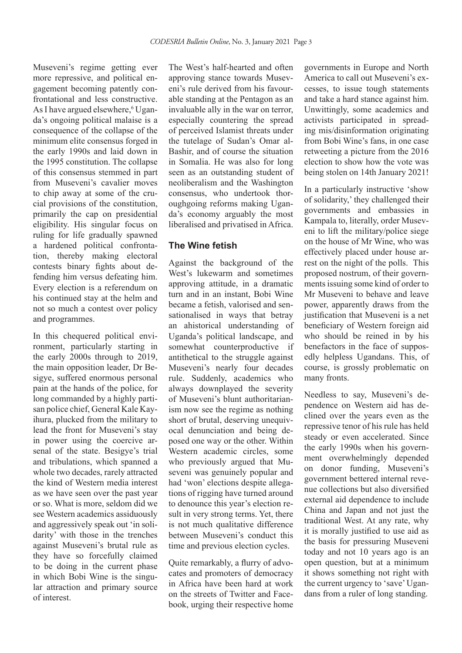Museveni's regime getting ever more repressive, and political engagement becoming patently confrontational and less constructive. As I have argued elsewhere,<sup>6</sup> Uganda's ongoing political malaise is a consequence of the collapse of the minimum elite consensus forged in the early 1990s and laid down in the 1995 constitution. The collapse of this consensus stemmed in part from Museveni's cavalier moves to chip away at some of the crucial provisions of the constitution, primarily the cap on presidential eligibility. His singular focus on ruling for life gradually spawned a hardened political confrontation, thereby making electoral contests binary fights about defending him versus defeating him. Every election is a referendum on his continued stay at the helm and not so much a contest over policy and programmes.

In this chequered political environment, particularly starting in the early 2000s through to 2019, the main opposition leader, Dr Besigye, suffered enormous personal pain at the hands of the police, for long commanded by a highly partisan police chief, General Kale Kayihura, plucked from the military to lead the front for Museveni's stay in power using the coercive arsenal of the state. Besigye's trial and tribulations, which spanned a whole two decades, rarely attracted the kind of Western media interest as we have seen over the past year or so. What is more, seldom did we see Western academics assiduously and aggressively speak out 'in solidarity' with those in the trenches against Museveni's brutal rule as they have so forcefully claimed to be doing in the current phase in which Bobi Wine is the singular attraction and primary source of interest.

The West's half-hearted and often approving stance towards Museveni's rule derived from his favourable standing at the Pentagon as an invaluable ally in the war on terror, especially countering the spread of perceived Islamist threats under the tutelage of Sudan's Omar al-Bashir, and of course the situation in Somalia. He was also for long seen as an outstanding student of neoliberalism and the Washington consensus, who undertook thoroughgoing reforms making Uganda's economy arguably the most liberalised and privatised in Africa.

### **The Wine fetish**

Against the background of the West's lukewarm and sometimes approving attitude, in a dramatic turn and in an instant, Bobi Wine became a fetish, valorised and sensationalised in ways that betray an ahistorical understanding of Uganda's political landscape, and somewhat counterproductive if antithetical to the struggle against Museveni's nearly four decades rule. Suddenly, academics who always downplayed the severity of Museveni's blunt authoritarianism now see the regime as nothing short of brutal, deserving unequivocal denunciation and being deposed one way or the other. Within Western academic circles, some who previously argued that Museveni was genuinely popular and had 'won' elections despite allegations of rigging have turned around to denounce this year's election result in very strong terms. Yet, there is not much qualitative difference between Museveni's conduct this time and previous election cycles.

Quite remarkably, a flurry of advocates and promoters of democracy in Africa have been hard at work on the streets of Twitter and Facebook, urging their respective home governments in Europe and North America to call out Museveni's excesses, to issue tough statements and take a hard stance against him. Unwittingly, some academics and activists participated in spreading mis/disinformation originating from Bobi Wine's fans, in one case retweeting a picture from the 2016 election to show how the vote was being stolen on 14th January 2021!

In a particularly instructive 'show of solidarity,' they challenged their governments and embassies in Kampala to, literally, order Museveni to lift the military/police siege on the house of Mr Wine, who was effectively placed under house arrest on the night of the polls. This proposed nostrum, of their governments issuing some kind of order to Mr Museveni to behave and leave power, apparently draws from the justification that Museveni is a net beneficiary of Western foreign aid who should be reined in by his benefactors in the face of supposedly helpless Ugandans. This, of course, is grossly problematic on many fronts.

Needless to say, Museveni's dependence on Western aid has declined over the years even as the repressive tenor of his rule has held steady or even accelerated. Since the early 1990s when his government overwhelmingly depended on donor funding, Museveni's government bettered internal revenue collections but also diversified external aid dependence to include China and Japan and not just the traditional West. At any rate, why it is morally justified to use aid as the basis for pressuring Museveni today and not 10 years ago is an open question, but at a minimum it shows something not right with the current urgency to 'save' Ugandans from a ruler of long standing.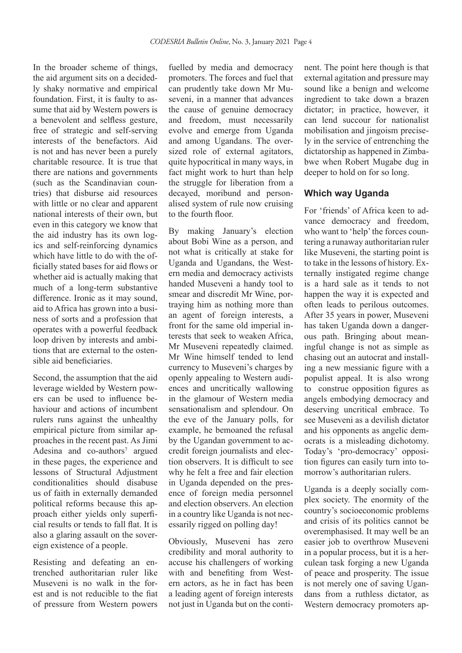In the broader scheme of things, the aid argument sits on a decidedly shaky normative and empirical foundation. First, it is faulty to assume that aid by Western powers is a benevolent and selfless gesture, free of strategic and self-serving interests of the benefactors. Aid is not and has never been a purely charitable resource. It is true that there are nations and governments (such as the Scandinavian countries) that disburse aid resources with little or no clear and apparent national interests of their own, but even in this category we know that the aid industry has its own logics and self-reinforcing dynamics which have little to do with the officially stated bases for aid flows or whether aid is actually making that much of a long-term substantive difference. Ironic as it may sound, aid to Africa has grown into a business of sorts and a profession that operates with a powerful feedback loop driven by interests and ambitions that are external to the ostensible aid beneficiaries.

Second, the assumption that the aid leverage wielded by Western powers can be used to influence behaviour and actions of incumbent rulers runs against the unhealthy empirical picture from similar approaches in the recent past. As Jimi Adesina and  $\cos^7$  argued in these pages, the experience and lessons of Structural Adjustment conditionalities should disabuse us of faith in externally demanded political reforms because this approach either yields only superficial results or tends to fall flat. It is also a glaring assault on the sovereign existence of a people.

Resisting and defeating an entrenched authoritarian ruler like Museveni is no walk in the forest and is not reducible to the fiat of pressure from Western powers

fuelled by media and democracy promoters. The forces and fuel that can prudently take down Mr Museveni, in a manner that advances the cause of genuine democracy and freedom, must necessarily evolve and emerge from Uganda and among Ugandans. The oversized role of external agitators, quite hypocritical in many ways, in fact might work to hurt than help the struggle for liberation from a decayed, moribund and personalised system of rule now cruising to the fourth floor.

By making January's election about Bobi Wine as a person, and not what is critically at stake for Uganda and Ugandans, the Western media and democracy activists handed Museveni a handy tool to smear and discredit Mr Wine, portraying him as nothing more than an agent of foreign interests, a front for the same old imperial interests that seek to weaken Africa, Mr Museveni repeatedly claimed. Mr Wine himself tended to lend currency to Museveni's charges by openly appealing to Western audiences and uncritically wallowing in the glamour of Western media sensationalism and splendour. On the eve of the January polls, for example, he bemoaned the refusal by the Ugandan government to accredit foreign journalists and election observers. It is difficult to see why he felt a free and fair election in Uganda depended on the presence of foreign media personnel and election observers. An election in a country like Uganda is not necessarily rigged on polling day!

Obviously, Museveni has zero credibility and moral authority to accuse his challengers of working with and benefiting from Western actors, as he in fact has been a leading agent of foreign interests not just in Uganda but on the continent. The point here though is that external agitation and pressure may sound like a benign and welcome ingredient to take down a brazen dictator; in practice, however, it can lend succour for nationalist mobilisation and jingoism precisely in the service of entrenching the dictatorship as happened in Zimbabwe when Robert Mugabe dug in deeper to hold on for so long.

#### **Which way Uganda**

For 'friends' of Africa keen to advance democracy and freedom, who want to 'help' the forces countering a runaway authoritarian ruler like Museveni, the starting point is to take in the lessons of history. Externally instigated regime change is a hard sale as it tends to not happen the way it is expected and often leads to perilous outcomes. After 35 years in power, Museveni has taken Uganda down a dangerous path. Bringing about meaningful change is not as simple as chasing out an autocrat and installing a new messianic figure with a populist appeal. It is also wrong to construe opposition figures as angels embodying democracy and deserving uncritical embrace. To see Museveni as a devilish dictator and his opponents as angelic democrats is a misleading dichotomy. Today's 'pro-democracy' opposition figures can easily turn into tomorrow's authoritarian rulers.

Uganda is a deeply socially complex society. The enormity of the country's socioeconomic problems and crisis of its politics cannot be overemphasised. It may well be an easier job to overthrow Museveni in a popular process, but it is a herculean task forging a new Uganda of peace and prosperity. The issue is not merely one of saving Ugandans from a ruthless dictator, as Western democracy promoters ap-